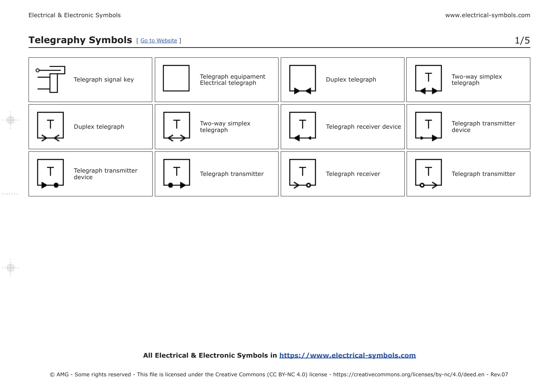. . . . . . .

#### **Telegraphy Symbols** [ [Go to Website](https://www.electrical-symbols.com/electric-electronic-symbols/telegraphy-symbols.htm) ] 1/5

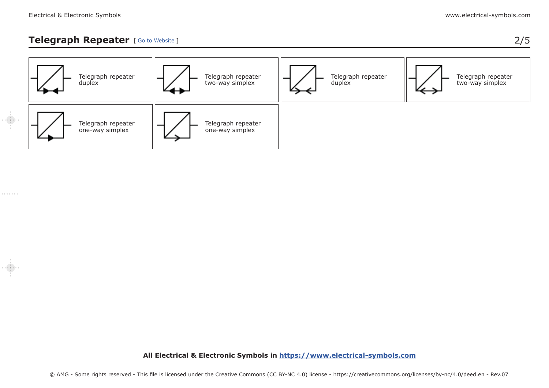#### **Telegraph Repeater** [ [Go to Website](https://www.electrical-symbols.com/electric-electronic-symbols/telegraphy-symbols.htm#telegraph_repeater_symbology) ] 2/5

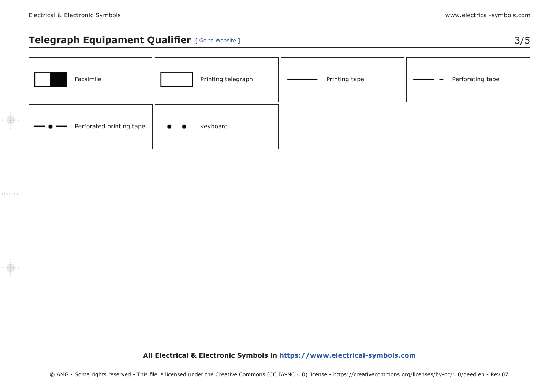## **Telegraph Equipament Qualifier** [ [Go to Website](https://www.electrical-symbols.com/electric-electronic-symbols/telegraphy-symbols.htm#equipament_qualifier_symbology) ] 3/5

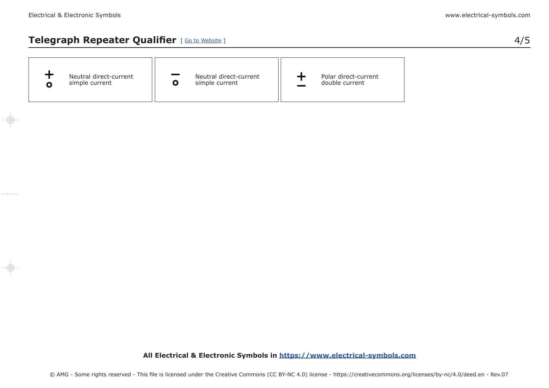## **Telegraph Repeater Qualifier** [ [Go to Website](https://www.electrical-symbols.com/electric-electronic-symbols/telegraphy-symbols.htm#repeater_qualifier_symbology) ] 4/5